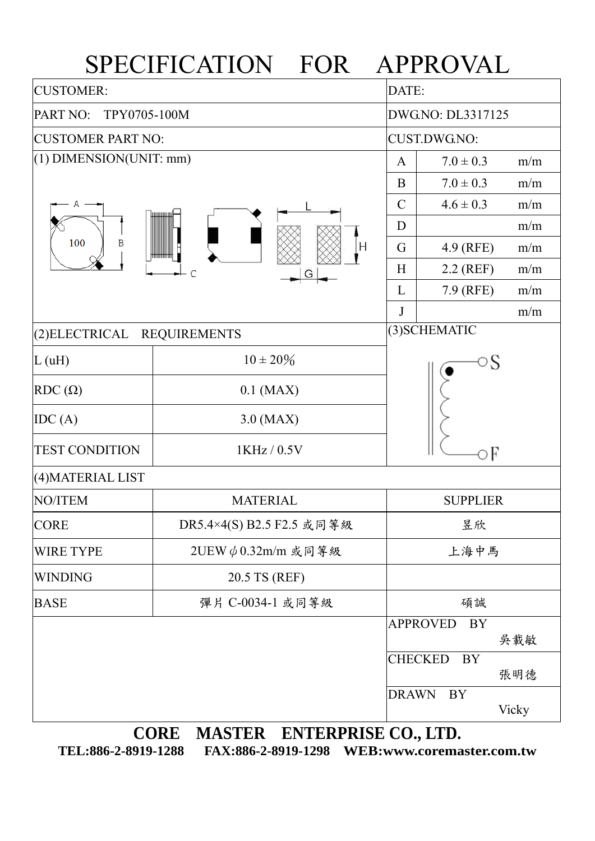## SPECIFICATION FOR APPROVAL

| <b>CUSTOMER:</b>                      |                           |                      | DATE:                              |  |  |  |  |
|---------------------------------------|---------------------------|----------------------|------------------------------------|--|--|--|--|
| PART NO:<br>TPY0705-100M              |                           |                      | DWG.NO: DL3317125                  |  |  |  |  |
| <b>CUSTOMER PART NO:</b>              |                           |                      | CUST.DWG.NO:                       |  |  |  |  |
| $(1)$ DIMENSION(UNIT: mm)             | A                         | $7.0 \pm 0.3$<br>m/m |                                    |  |  |  |  |
|                                       |                           | B                    | $7.0 \pm 0.3$<br>m/m               |  |  |  |  |
|                                       | $\mathcal{C}$             | $4.6 \pm 0.3$<br>m/m |                                    |  |  |  |  |
|                                       | m/m<br>D                  |                      |                                    |  |  |  |  |
| 100<br>В                              | G                         | 4.9 (RFE)<br>m/m     |                                    |  |  |  |  |
|                                       | H                         | $2.2$ (REF)<br>m/m   |                                    |  |  |  |  |
|                                       |                           | L                    | 7.9 (RFE)<br>m/m                   |  |  |  |  |
|                                       | $\bf J$                   | m/m                  |                                    |  |  |  |  |
| (2) ELECTRICAL<br><b>REQUIREMENTS</b> |                           | (3) SCHEMATIC        |                                    |  |  |  |  |
| L(uH)                                 | $10 \pm 20\%$             |                      | ○S                                 |  |  |  |  |
| $RDC(\Omega)$                         | $0.1$ (MAX)               |                      |                                    |  |  |  |  |
| IDC(A)                                | $3.0$ (MAX)               |                      |                                    |  |  |  |  |
| <b>TEST CONDITION</b>                 | 1KHz / 0.5V               | оF                   |                                    |  |  |  |  |
| (4) MATERIAL LIST                     |                           |                      |                                    |  |  |  |  |
| NO/ITEM                               | <b>MATERIAL</b>           | <b>SUPPLIER</b>      |                                    |  |  |  |  |
| <b>CORE</b>                           | DR5.4×4(S) B2.5 F2.5 或同等級 | 昱欣                   |                                    |  |  |  |  |
| WIRE TYPE                             | $2UEW \phi$ 0.32m/m 或同等級  | 上海中馬                 |                                    |  |  |  |  |
| <b>WINDING</b>                        | 20.5 TS (REF)             |                      |                                    |  |  |  |  |
| <b>BASE</b>                           | 彈片 C-0034-1 或同等級          | 碩誠                   |                                    |  |  |  |  |
|                                       |                           |                      | <b>APPROVED</b><br><b>BY</b>       |  |  |  |  |
|                                       |                           |                      | 吳載敏                                |  |  |  |  |
|                                       |                           |                      | <b>CHECKED</b><br><b>BY</b><br>張明德 |  |  |  |  |
|                                       |                           | <b>DRAWN</b>         | <b>BY</b><br>Vicky                 |  |  |  |  |

**CORE MASTER ENTERPRISE CO., LTD.** 

**TEL:886-2-8919-1288 FAX:886-2-8919-1298 WEB:www.coremaster.com.tw**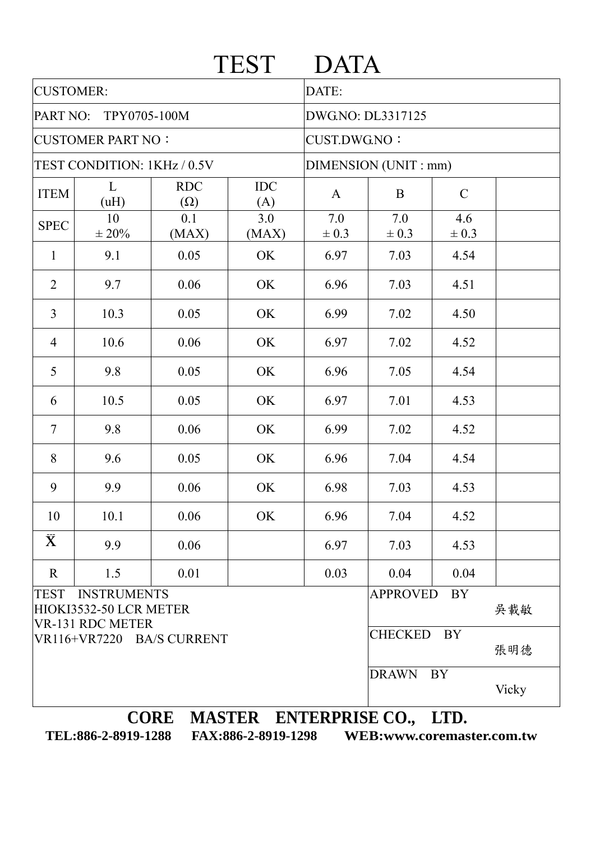|                                                                                 |                  |                          | <b>TEST</b>       | <b>DATA</b>           |                  |                  |       |  |  |
|---------------------------------------------------------------------------------|------------------|--------------------------|-------------------|-----------------------|------------------|------------------|-------|--|--|
| <b>CUSTOMER:</b>                                                                |                  |                          |                   | DATE:                 |                  |                  |       |  |  |
| PART NO:<br>TPY0705-100M                                                        |                  |                          |                   | DWG.NO: DL3317125     |                  |                  |       |  |  |
| <b>CUSTOMER PART NO:</b>                                                        |                  |                          |                   | <b>CUST.DWG.NO:</b>   |                  |                  |       |  |  |
| TEST CONDITION: 1KHz / 0.5V                                                     |                  |                          |                   | DIMENSION (UNIT : mm) |                  |                  |       |  |  |
| <b>ITEM</b>                                                                     | L<br>(uH)        | <b>RDC</b><br>$(\Omega)$ | <b>IDC</b><br>(A) | $\mathbf{A}$          | $\mathbf{B}$     | $\mathcal{C}$    |       |  |  |
| <b>SPEC</b>                                                                     | 10<br>$\pm 20\%$ | 0.1<br>(MAX)             | 3.0<br>(MAX)      | 7.0<br>$\pm 0.3$      | 7.0<br>$\pm 0.3$ | 4.6<br>$\pm 0.3$ |       |  |  |
| $\mathbf{1}$                                                                    | 9.1              | 0.05                     | OK                | 6.97                  | 7.03             | 4.54             |       |  |  |
| $\overline{2}$                                                                  | 9.7              | 0.06                     | OK                | 6.96                  | 7.03             | 4.51             |       |  |  |
| $\overline{3}$                                                                  | 10.3             | 0.05                     | OK                | 6.99                  | 7.02             | 4.50             |       |  |  |
| $\overline{4}$                                                                  | 10.6             | 0.06                     | OK                | 6.97                  | 7.02             | 4.52             |       |  |  |
| 5                                                                               | 9.8              | 0.05                     | OK                | 6.96                  | 7.05             | 4.54             |       |  |  |
| 6                                                                               | 10.5             | 0.05                     | OK                | 6.97                  | 7.01             | 4.53             |       |  |  |
| $\overline{7}$                                                                  | 9.8              | 0.06                     | OK                | 6.99                  | 7.02             | 4.52             |       |  |  |
| 8                                                                               | 9.6              | 0.05                     | OK                | 6.96                  | 7.04             | 4.54             |       |  |  |
| 9                                                                               | 9.9              | 0.06                     | OK                | 6.98                  | 7.03             | 4.53             |       |  |  |
| 10                                                                              | 10.1             | 0.06                     | OK                | 6.96                  | 7.04             | 4.52             |       |  |  |
| $\bar{\mathbf{X}}$                                                              | 9.9              | 0.06                     |                   | 6.97                  | 7.03             | 4.53             |       |  |  |
| $\mathbf R$                                                                     | 1.5              | 0.01                     |                   | 0.03                  | 0.04             | 0.04             |       |  |  |
| <b>INSTRUMENTS</b><br><b>TEST</b><br>HIOKI3532-50 LCR METER<br>VR-131 RDC METER |                  |                          |                   |                       | <b>APPROVED</b>  | <b>BY</b>        | 吳載敏   |  |  |
| VR116+VR7220 BA/S CURRENT                                                       |                  |                          |                   |                       | <b>CHECKED</b>   | <b>BY</b>        | 張明德   |  |  |
|                                                                                 |                  |                          |                   |                       | <b>DRAWN</b>     | BY               | Vicky |  |  |

**CORE MASTER ENTERPRISE CO., LTD.** 

**TEL:886-2-8919-1288 FAX:886-2-8919-1298 WEB:www.coremaster.com.tw**